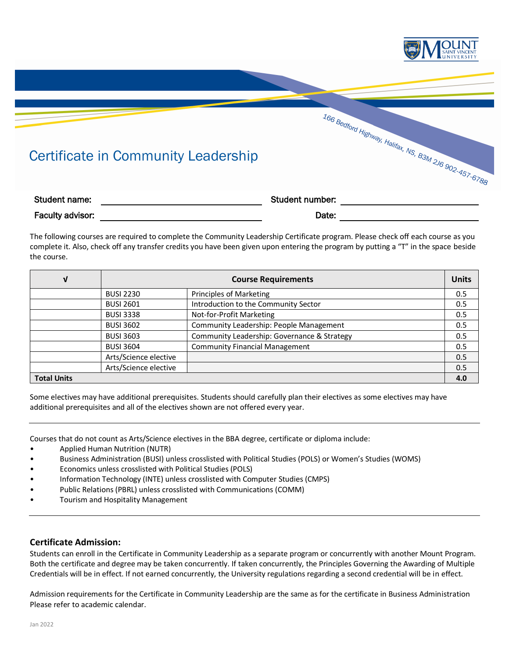

# Certificate in Community Leadership

| Certificate in Community Leadership |                 | 166 Bedford Highway, Halifax, NS, B3M 2J6 902-457-6766 |
|-------------------------------------|-----------------|--------------------------------------------------------|
| Student name:                       | Student number: |                                                        |
| Faculty advisor:                    | Date:           |                                                        |

The following courses are required to complete the Community Leadership Certificate program. Please check off each course as you complete it. Also, check off any transfer credits you have been given upon entering the program by putting a "T" in the space beside the course.

| ν                  | <b>Course Requirements</b> |                                             | <b>Units</b> |
|--------------------|----------------------------|---------------------------------------------|--------------|
|                    | <b>BUSI 2230</b>           | Principles of Marketing                     | 0.5          |
|                    | <b>BUSI 2601</b>           | Introduction to the Community Sector        | 0.5          |
|                    | <b>BUSI 3338</b>           | Not-for-Profit Marketing                    | 0.5          |
|                    | <b>BUSI 3602</b>           | Community Leadership: People Management     | 0.5          |
|                    | <b>BUSI 3603</b>           | Community Leadership: Governance & Strategy | 0.5          |
|                    | <b>BUSI 3604</b>           | <b>Community Financial Management</b>       | 0.5          |
|                    | Arts/Science elective      |                                             | 0.5          |
|                    | Arts/Science elective      |                                             | 0.5          |
| <b>Total Units</b> |                            |                                             | 4.0          |

Some electives may have additional prerequisites. Students should carefully plan their electives as some electives may have additional prerequisites and all of the electives shown are not offered every year.

Courses that do not count as Arts/Science electives in the BBA degree, certificate or diploma include:

- Applied Human Nutrition (NUTR)
- Business Administration (BUSI) unless crosslisted with Political Studies (POLS) or Women's Studies (WOMS)
- Economics unless crosslisted with Political Studies (POLS)
- Information Technology (INTE) unless crosslisted with Computer Studies (CMPS)
- Public Relations (PBRL) unless crosslisted with Communications (COMM)
- Tourism and Hospitality Management

#### **Certificate Admission:**

Students can enroll in the Certificate in Community Leadership as a separate program or concurrently with another Mount Program. Both the certificate and degree may be taken concurrently. If taken concurrently, the Principles Governing the Awarding of Multiple Credentials will be in effect. If not earned concurrently, the University regulations regarding a second credential will be in effect.

Admission requirements for the Certificate in Community Leadership are the same as for the certificate in Business Administration Please refer to academic calendar.